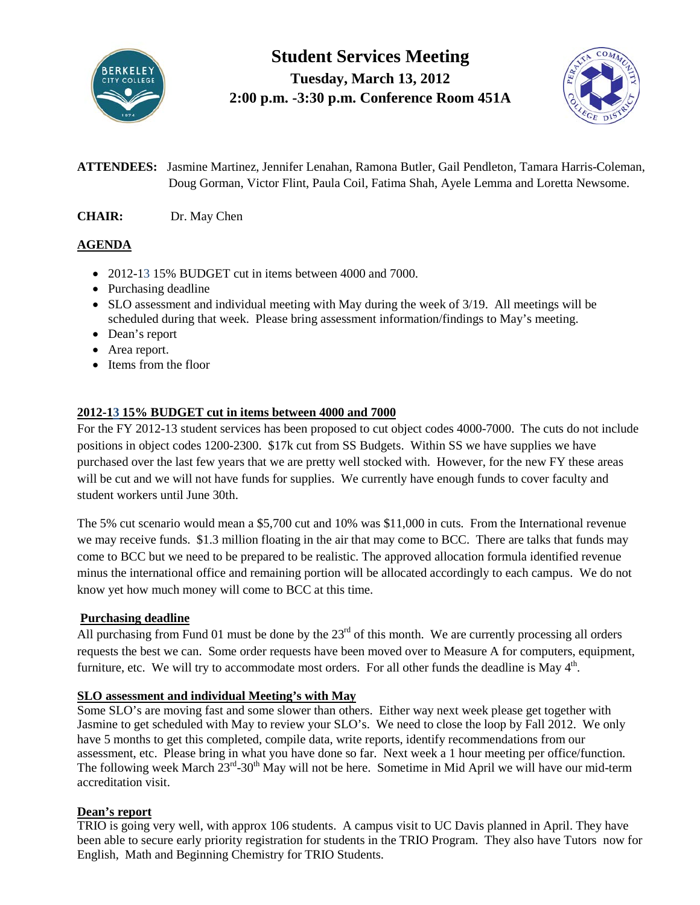

**Student Services Meeting Tuesday, March 13, 2012 2:00 p.m. -3:30 p.m. Conference Room 451A**



**ATTENDEES:** Jasmine Martinez, Jennifer Lenahan, Ramona Butler, Gail Pendleton, Tamara Harris-Coleman, Doug Gorman, Victor Flint, Paula Coil, Fatima Shah, Ayele Lemma and Loretta Newsome.

**CHAIR:** Dr. May Chen

# **AGENDA**

- 2012-13 15% BUDGET cut in items between 4000 and 7000.
- Purchasing deadline
- SLO assessment and individual meeting with May during the week of 3/19. All meetings will be scheduled during that week. Please bring assessment information/findings to May's meeting.
- Dean's report
- Area report.
- Items from the floor

## **2012-13 15% BUDGET cut in items between 4000 and 7000**

For the FY 2012-13 student services has been proposed to cut object codes 4000-7000. The cuts do not include positions in object codes 1200-2300. \$17k cut from SS Budgets. Within SS we have supplies we have purchased over the last few years that we are pretty well stocked with. However, for the new FY these areas will be cut and we will not have funds for supplies. We currently have enough funds to cover faculty and student workers until June 30th.

The 5% cut scenario would mean a \$5,700 cut and 10% was \$11,000 in cuts. From the International revenue we may receive funds. \$1.3 million floating in the air that may come to BCC. There are talks that funds may come to BCC but we need to be prepared to be realistic. The approved allocation formula identified revenue minus the international office and remaining portion will be allocated accordingly to each campus. We do not know yet how much money will come to BCC at this time.

### **Purchasing deadline**

All purchasing from Fund 01 must be done by the  $23<sup>rd</sup>$  of this month. We are currently processing all orders requests the best we can. Some order requests have been moved over to Measure A for computers, equipment, furniture, etc. We will try to accommodate most orders. For all other funds the deadline is May  $4<sup>th</sup>$ .

### **SLO assessment and individual Meeting's with May**

Some SLO's are moving fast and some slower than others. Either way next week please get together with Jasmine to get scheduled with May to review your SLO's. We need to close the loop by Fall 2012. We only have 5 months to get this completed, compile data, write reports, identify recommendations from our assessment, etc. Please bring in what you have done so far. Next week a 1 hour meeting per office/function. The following week March  $23^{rd}$ -30<sup>th</sup> May will not be here. Sometime in Mid April we will have our mid-term accreditation visit.

## **Dean's report**

TRIO is going very well, with approx 106 students. A campus visit to UC Davis planned in April. They have been able to secure early priority registration for students in the TRIO Program. They also have Tutors now for English, Math and Beginning Chemistry for TRIO Students.